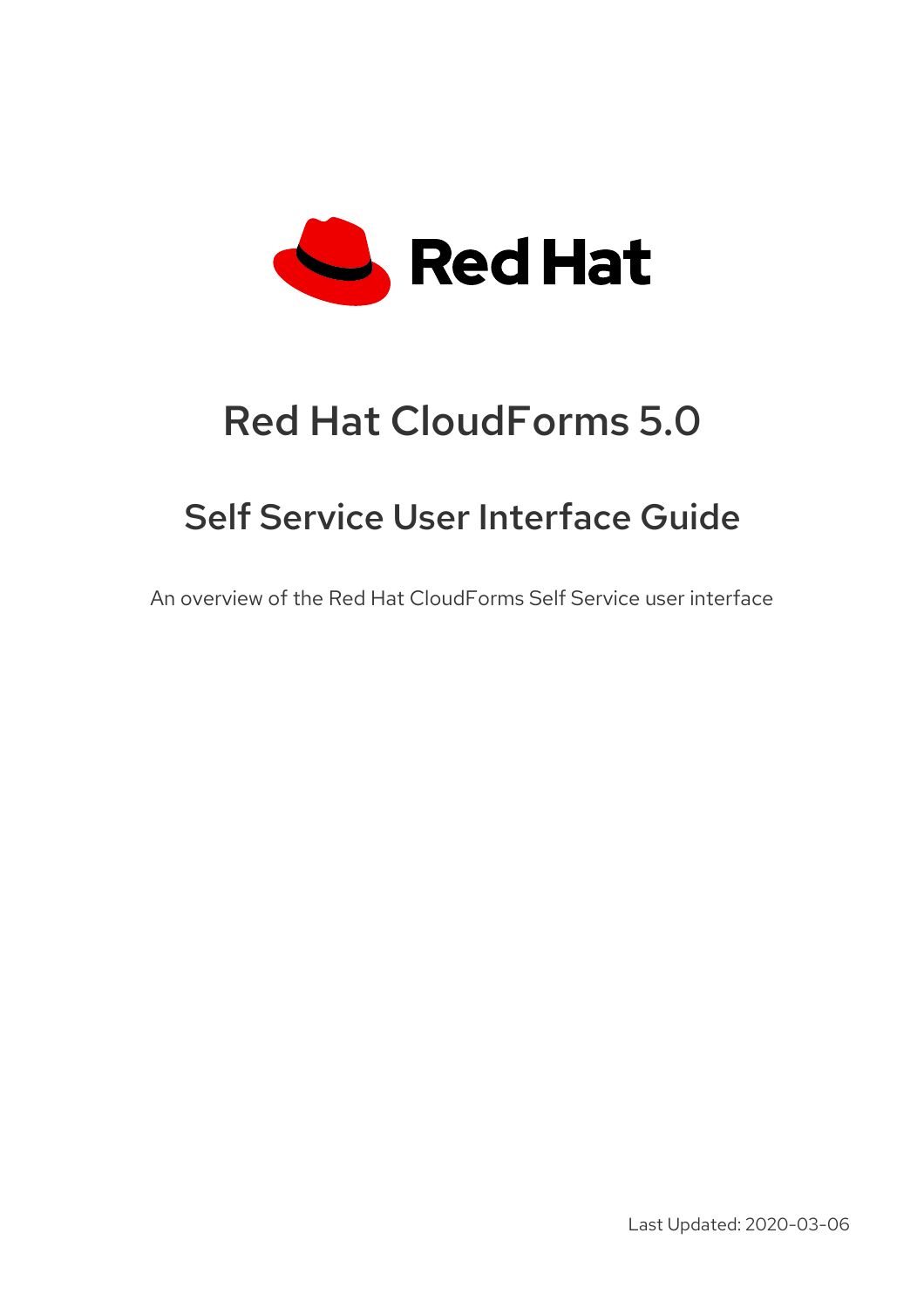

# Red Hat CloudForms 5.0

# Self Service User Interface Guide

An overview of the Red Hat CloudForms Self Service user interface

Last Updated: 2020-03-06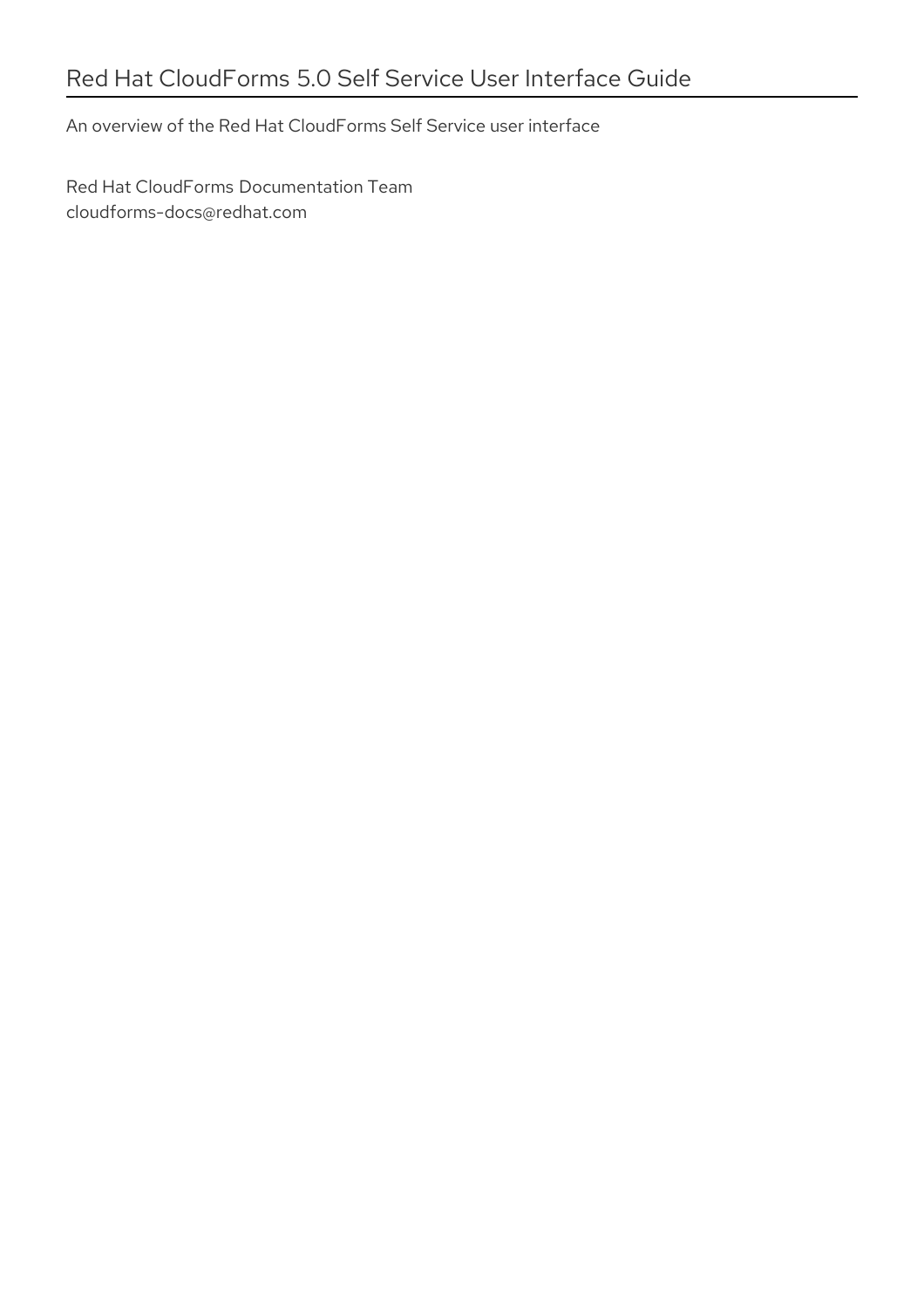An overview of the Red Hat CloudForms Self Service user interface

Red Hat CloudForms Documentation Team cloudforms-docs@redhat.com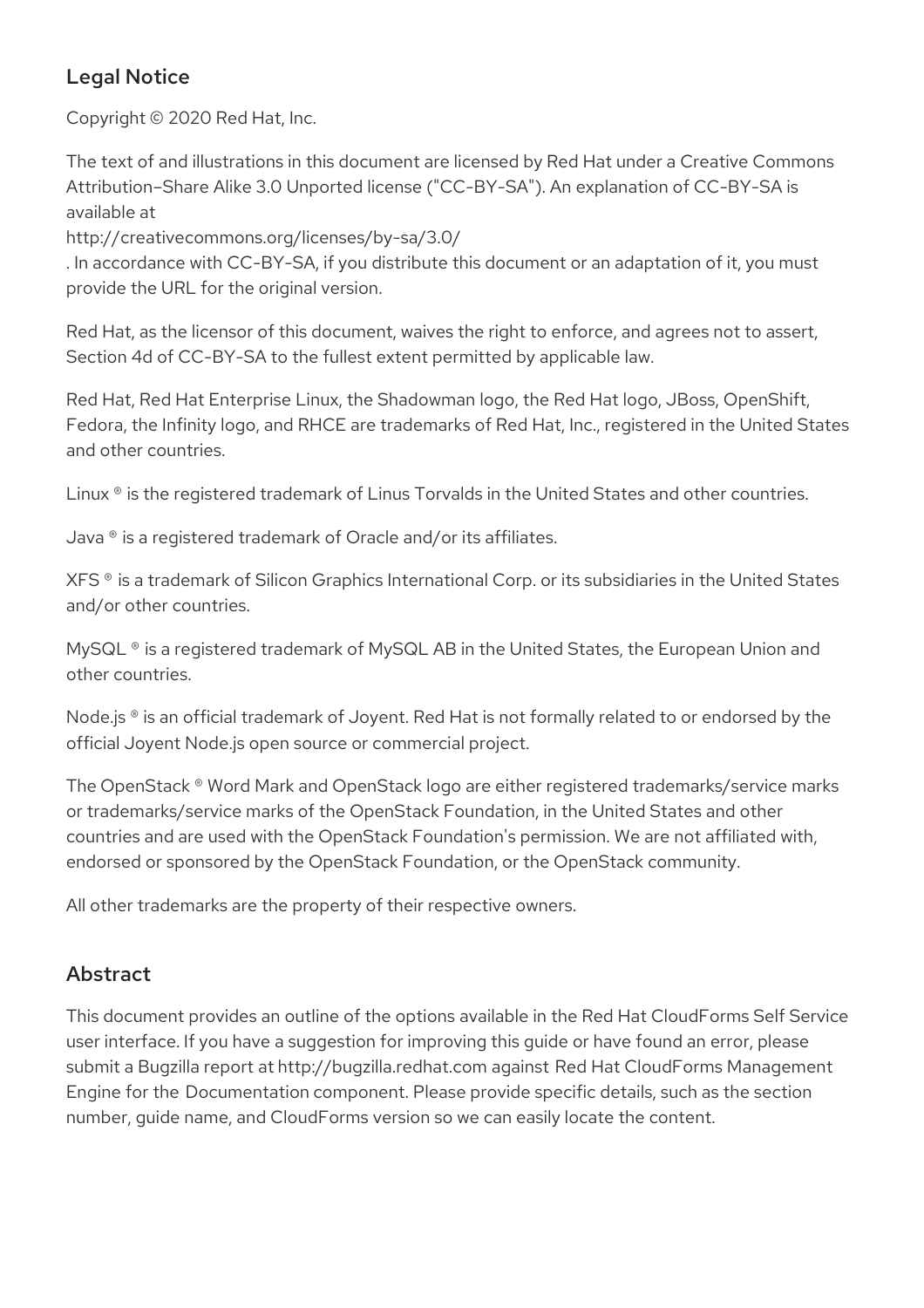## Legal Notice

Copyright © 2020 Red Hat, Inc.

The text of and illustrations in this document are licensed by Red Hat under a Creative Commons Attribution–Share Alike 3.0 Unported license ("CC-BY-SA"). An explanation of CC-BY-SA is available at

http://creativecommons.org/licenses/by-sa/3.0/

. In accordance with CC-BY-SA, if you distribute this document or an adaptation of it, you must provide the URL for the original version.

Red Hat, as the licensor of this document, waives the right to enforce, and agrees not to assert, Section 4d of CC-BY-SA to the fullest extent permitted by applicable law.

Red Hat, Red Hat Enterprise Linux, the Shadowman logo, the Red Hat logo, JBoss, OpenShift, Fedora, the Infinity logo, and RHCE are trademarks of Red Hat, Inc., registered in the United States and other countries.

Linux ® is the registered trademark of Linus Torvalds in the United States and other countries.

Java ® is a registered trademark of Oracle and/or its affiliates.

XFS ® is a trademark of Silicon Graphics International Corp. or its subsidiaries in the United States and/or other countries.

MySQL<sup>®</sup> is a registered trademark of MySQL AB in the United States, the European Union and other countries.

Node.js ® is an official trademark of Joyent. Red Hat is not formally related to or endorsed by the official Joyent Node.js open source or commercial project.

The OpenStack ® Word Mark and OpenStack logo are either registered trademarks/service marks or trademarks/service marks of the OpenStack Foundation, in the United States and other countries and are used with the OpenStack Foundation's permission. We are not affiliated with, endorsed or sponsored by the OpenStack Foundation, or the OpenStack community.

All other trademarks are the property of their respective owners.

### Abstract

This document provides an outline of the options available in the Red Hat CloudForms Self Service user interface. If you have a suggestion for improving this guide or have found an error, please submit a Bugzilla report at http://bugzilla.redhat.com against Red Hat CloudForms Management Engine for the Documentation component. Please provide specific details, such as the section number, guide name, and CloudForms version so we can easily locate the content.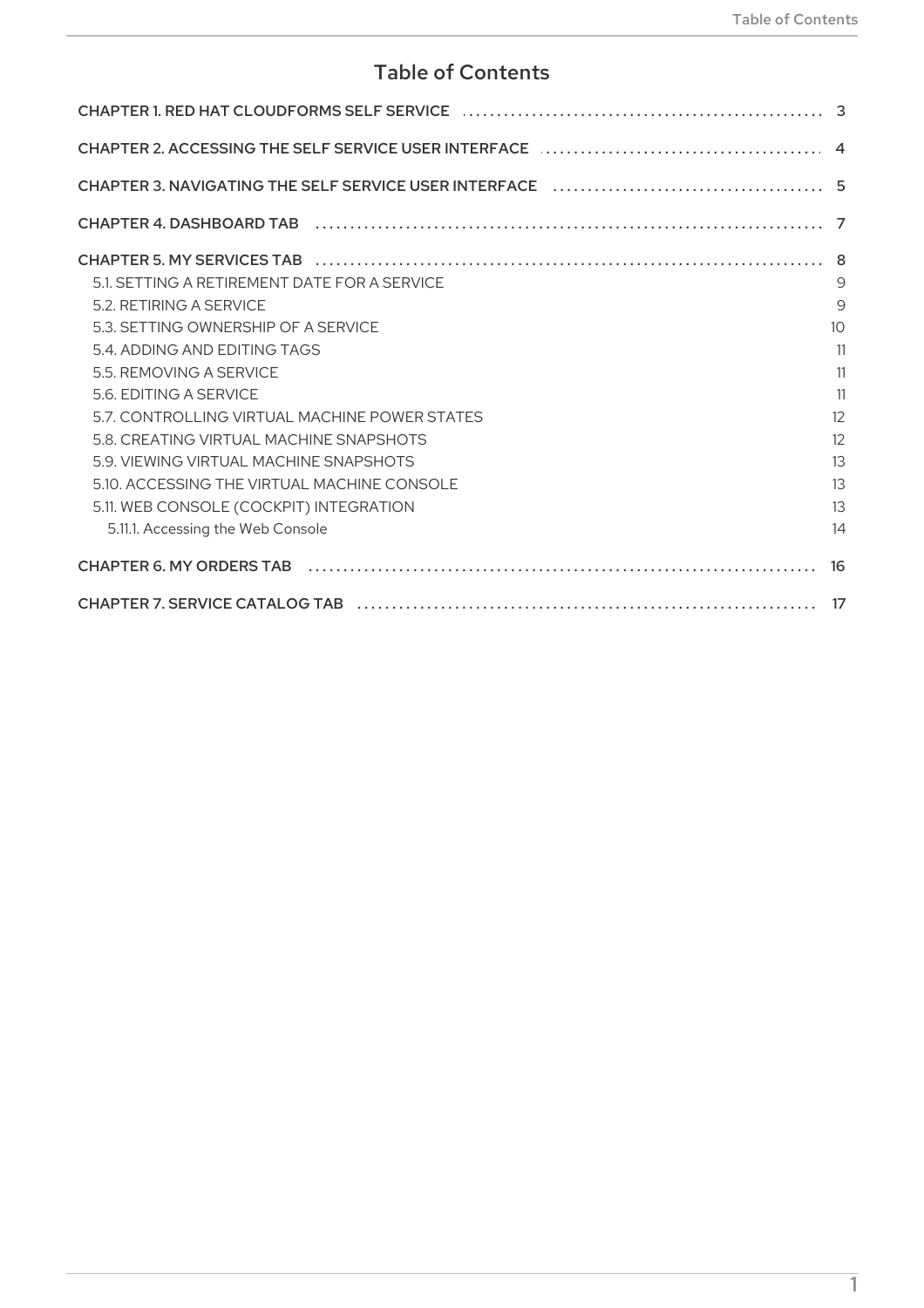# **Table of Contents**

| CHAPTER 1. RED HAT CLOUDFORMS SELF SERVICE <b>ACCOMODY CHAPTER 1. RED HAT CLOUDFORMS</b> SELF SERVICE <b>ACCOMODY</b> 3 |                |
|-------------------------------------------------------------------------------------------------------------------------|----------------|
|                                                                                                                         |                |
|                                                                                                                         |                |
|                                                                                                                         |                |
|                                                                                                                         |                |
| 5.1. SETTING A RETIREMENT DATE FOR A SERVICE                                                                            | 9              |
| 5.2. RETIRING A SERVICE                                                                                                 | $\overline{9}$ |
| 5.3. SETTING OWNERSHIP OF A SERVICE                                                                                     | 10             |
| 5.4 ADDING AND FDITING TAGS                                                                                             | 11             |
| 5.5. REMOVING A SERVICE                                                                                                 | 11             |
| 5.6. EDITING A SERVICE                                                                                                  | 11             |
| 5.7. CONTROLLING VIRTUAL MACHINE POWER STATES                                                                           | 12             |
| 5.8. CREATING VIRTUAL MACHINE SNAPSHOTS                                                                                 | 12             |
| 5.9. VIEWING VIRTUAL MACHINE SNAPSHOTS                                                                                  | 13             |
| 5.10. ACCESSING THE VIRTUAL MACHINE CONSOLE                                                                             | 13             |
| 5.11. WEB CONSOLE (COCKPIT) INTEGRATION                                                                                 | 13             |
| 5.11.1. Accessing the Web Console                                                                                       | 14             |
|                                                                                                                         | -16            |
|                                                                                                                         | 17             |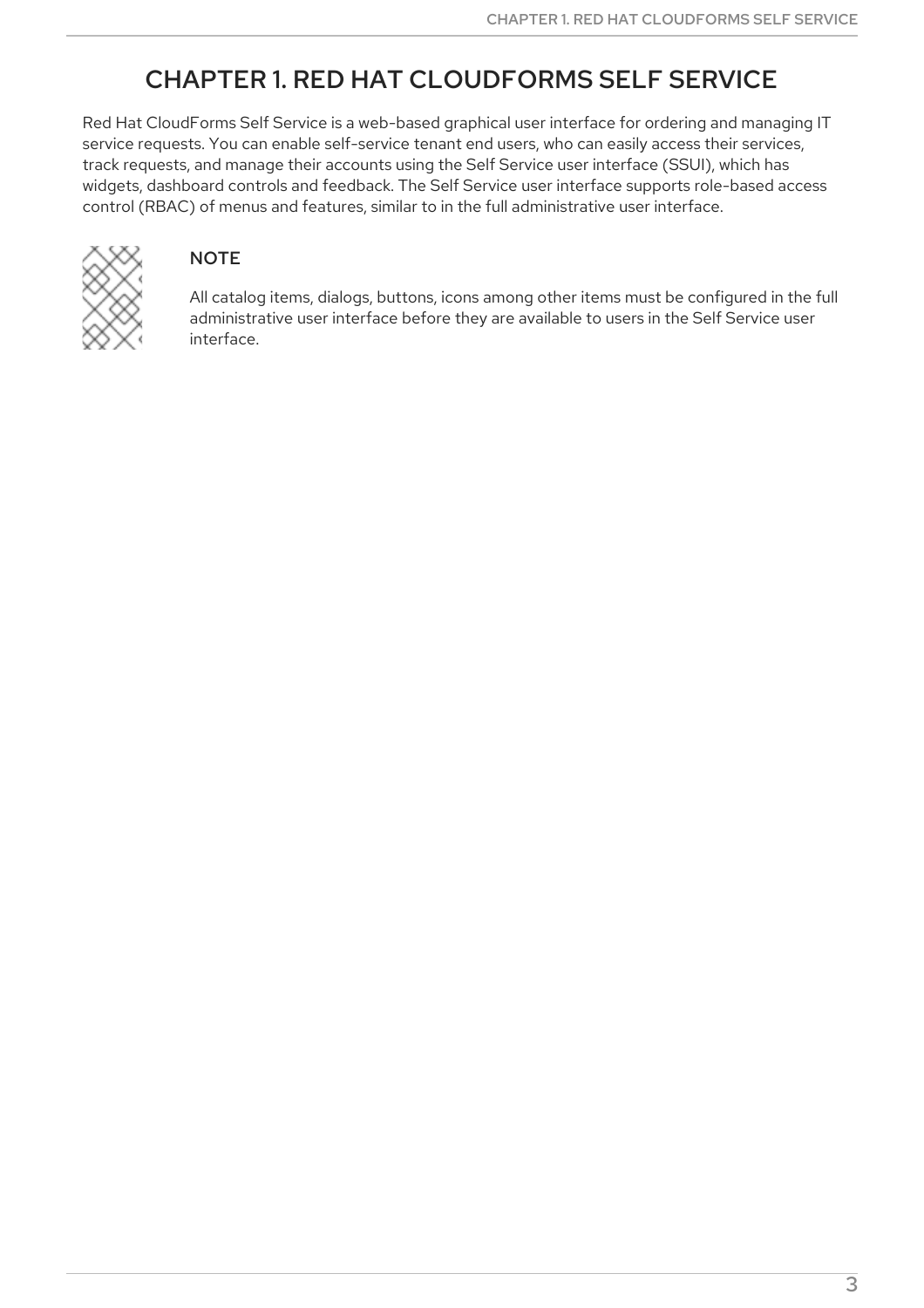# CHAPTER 1. RED HAT CLOUDFORMS SELF SERVICE

<span id="page-6-0"></span>Red Hat CloudForms Self Service is a web-based graphical user interface for ordering and managing IT service requests. You can enable self-service tenant end users, who can easily access their services, track requests, and manage their accounts using the Self Service user interface (SSUI), which has widgets, dashboard controls and feedback. The Self Service user interface supports role-based access control (RBAC) of menus and features, similar to in the full administrative user interface.



#### **NOTE**

All catalog items, dialogs, buttons, icons among other items must be configured in the full administrative user interface before they are available to users in the Self Service user interface.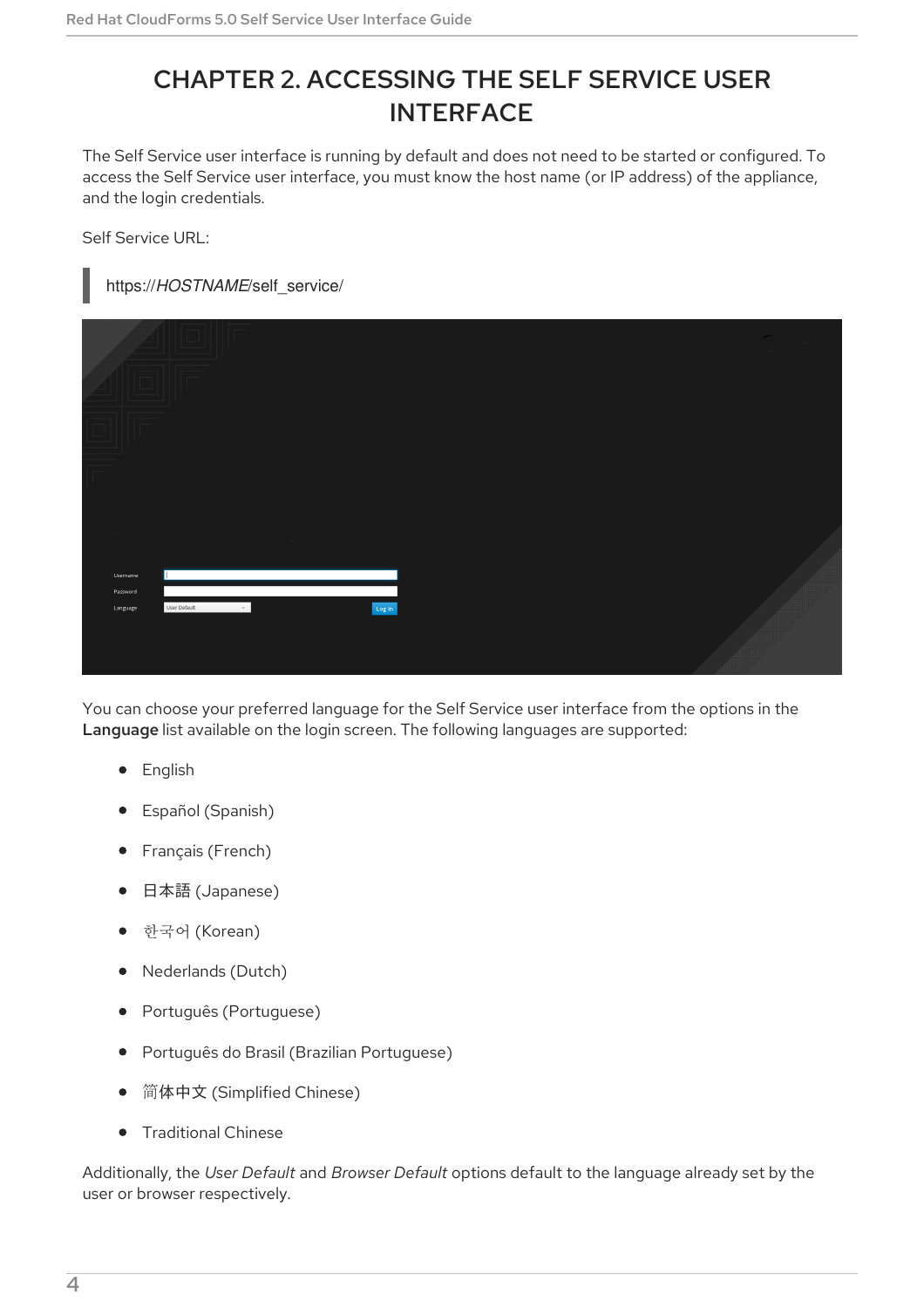# <span id="page-7-0"></span>CHAPTER 2. ACCESSING THE SELF SERVICE USER INTERFACE

The Self Service user interface is running by default and does not need to be started or configured. To access the Self Service user interface, you must know the host name (or IP address) of the appliance, and the login credentials.

Self Service URL:

#### https://*HOSTNAME*/self\_service/



You can choose your preferred language for the Self Service user interface from the options in the Language list available on the login screen. The following languages are supported:

- English
- Español (Spanish)
- Français (French)
- 日本語 (Japanese)
- 한국어 (Korean)
- Nederlands (Dutch)
- Português (Portuguese)  $\bullet$
- Português do Brasil (Brazilian Portuguese)
- 简体中文 (Simplified Chinese)
- Traditional Chinese

Additionally, the *User Default* and *Browser Default* options default to the language already set by the user or browser respectively.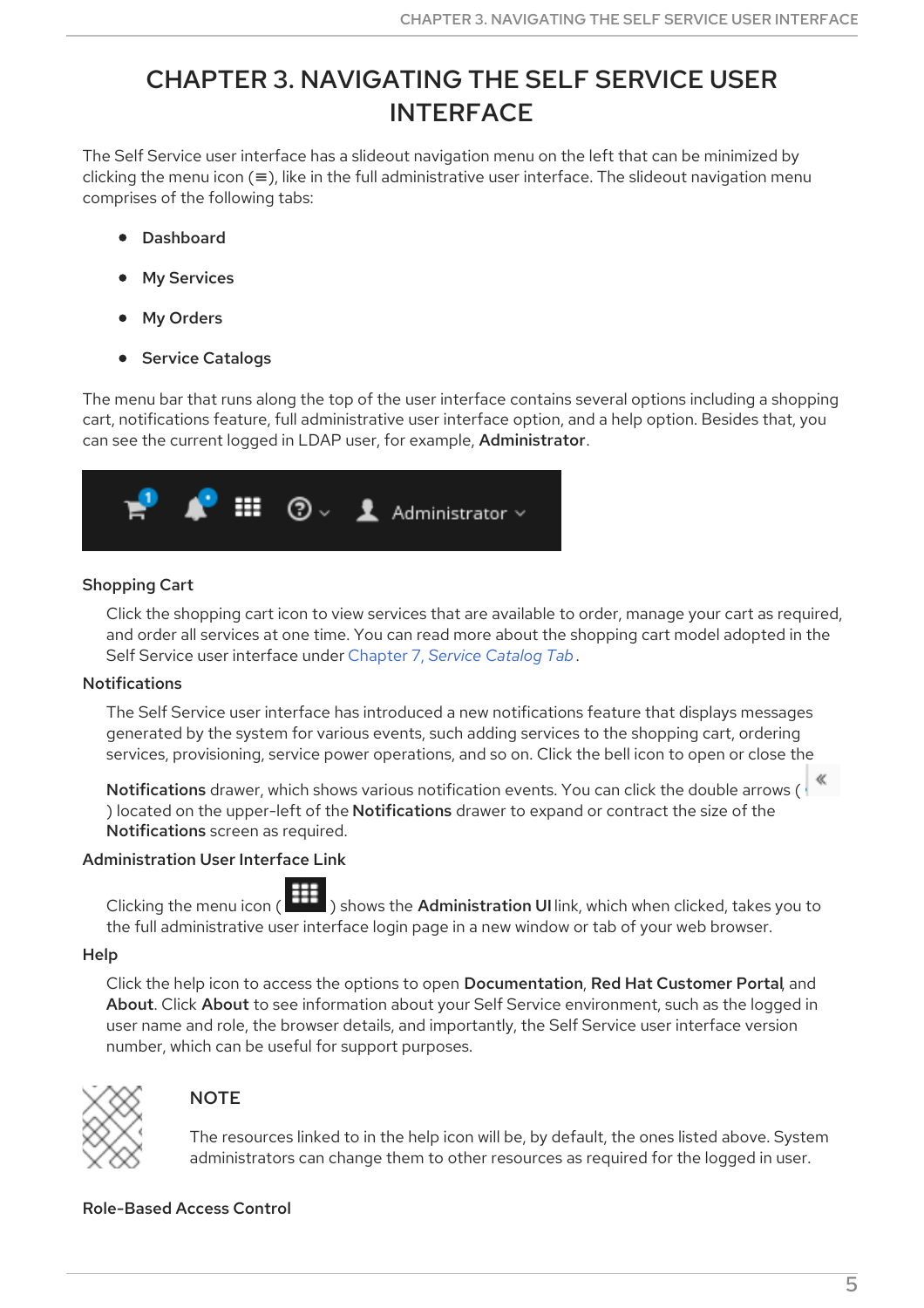# <span id="page-8-0"></span>CHAPTER 3. NAVIGATING THE SELF SERVICE USER INTERFACE

The Self Service user interface has a slideout navigation menu on the left that can be minimized by clicking the menu icon  $(\equiv)$ , like in the full administrative user interface. The slideout navigation menu comprises of the following tabs:

- Dashboard
- My Services
- My Orders
- Service Catalogs

The menu bar that runs along the top of the user interface contains several options including a shopping cart, notifications feature, full administrative user interface option, and a help option. Besides that, you can see the current logged in LDAP user, for example, Administrator.



#### Shopping Cart

Click the shopping cart icon to view services that are available to order, manage your cart as required, and order all services at one time. You can read more about the shopping cart model adopted in the Self Service user interface under [Chapter](#page-20-1) 7, *Service Catalog Tab*.

#### **Notifications**

The Self Service user interface has introduced a new notifications feature that displays messages generated by the system for various events, such adding services to the shopping cart, ordering services, provisioning, service power operations, and so on. Click the bell icon to open or close the

Notifications drawer, which shows various notification events. You can click the double arrows ( ) located on the upper-left of the Notifications drawer to expand or contract the size of the Notifications screen as required.

#### Administration User Interface Link

Clicking the menu icon ( ) shows the Administration UI link, which when clicked, takes you to the full administrative user interface login page in a new window or tab of your web browser.

#### Help

Click the help icon to access the options to open Documentation, Red Hat Customer Portal, and About. Click About to see information about your Self Service environment, such as the logged in user name and role, the browser details, and importantly, the Self Service user interface version number, which can be useful for support purposes.



#### **NOTE**

The resources linked to in the help icon will be, by default, the ones listed above. System administrators can change them to other resources as required for the logged in user.

#### Role-Based Access Control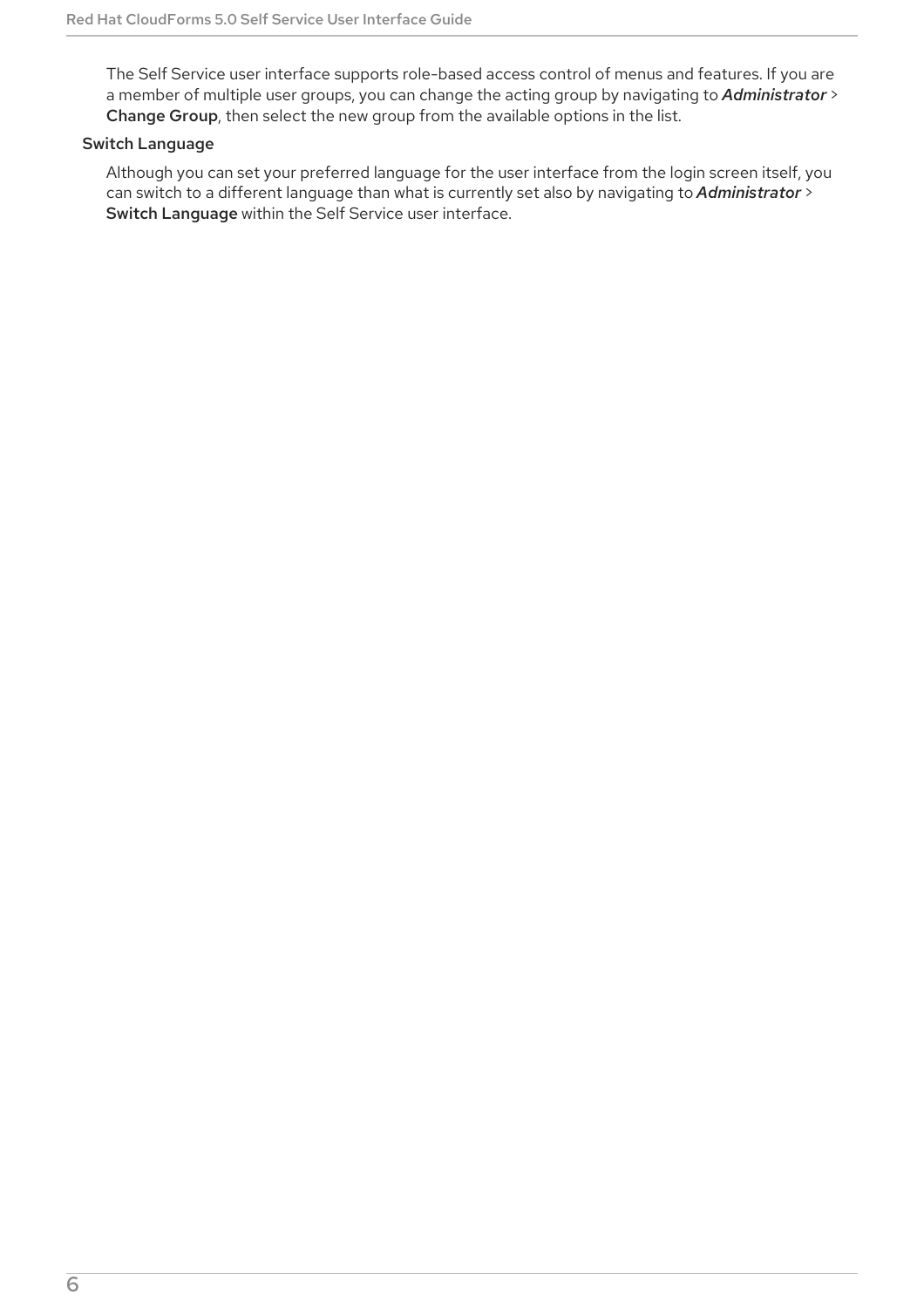The Self Service user interface supports role-based access control of menus and features. If you are a member of multiple user groups, you can change the acting group by navigating to *Administrator* > Change Group, then select the new group from the available options in the list.

#### Switch Language

Although you can set your preferred language for the user interface from the login screen itself, you can switch to a different language than what is currently set also by navigating to *Administrator* > Switch Language within the Self Service user interface.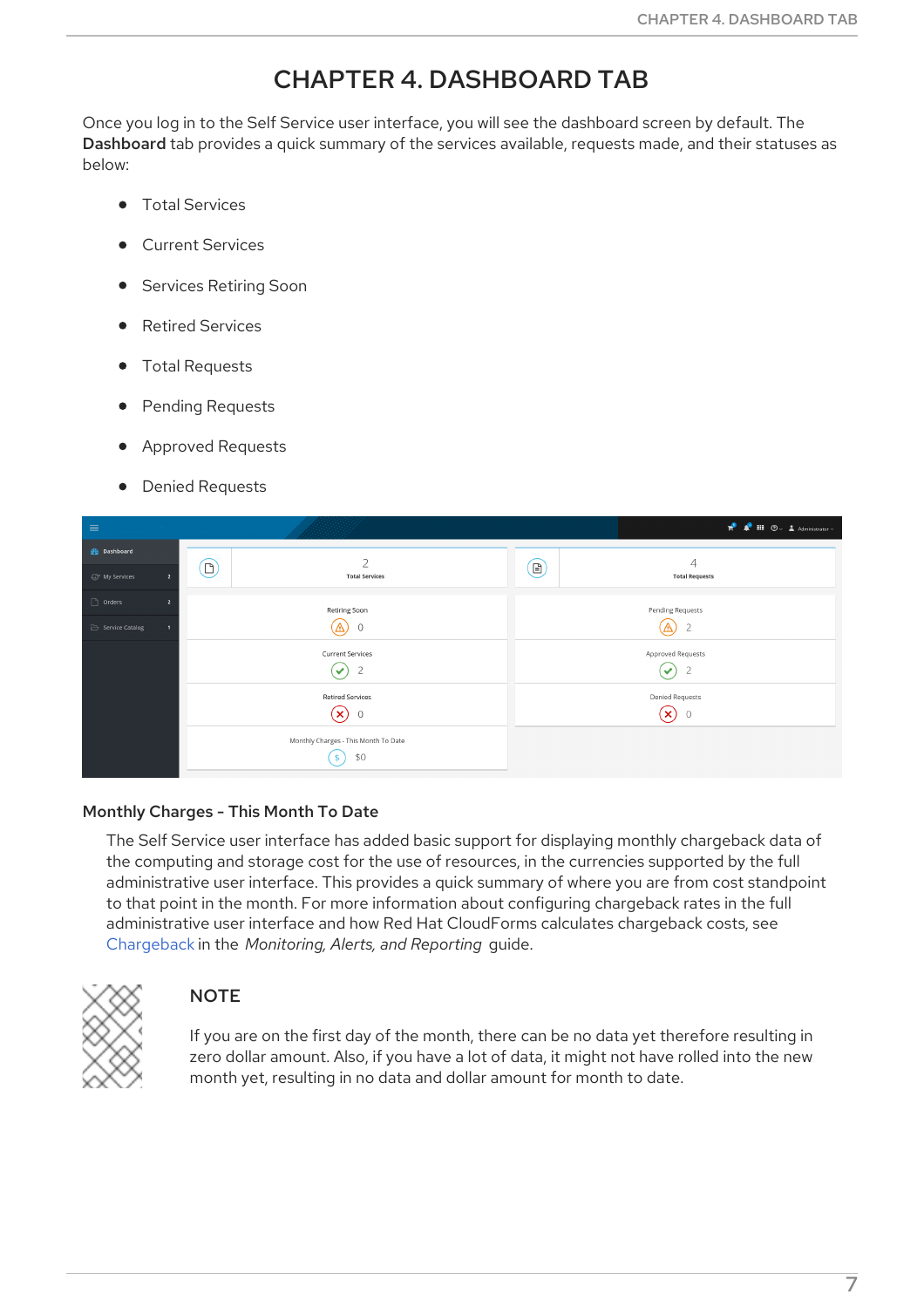# CHAPTER 4. DASHBOARD TAB

<span id="page-10-0"></span>Once you log in to the Self Service user interface, you will see the dashboard screen by default. The Dashboard tab provides a quick summary of the services available, requests made, and their statuses as below:

- Total Services
- Current Services
- Services Retiring Soon
- Retired Services
- Total Requests
- Pending Requests
- Approved Requests
- Denied Requests

| $\equiv$                                     |                                      | $\begin{picture}(180,10) \put(0,0){\line(1,0){10}} \put(15,0){\line(1,0){10}} \put(15,0){\line(1,0){10}} \put(15,0){\line(1,0){10}} \put(15,0){\line(1,0){10}} \put(15,0){\line(1,0){10}} \put(15,0){\line(1,0){10}} \put(15,0){\line(1,0){10}} \put(15,0){\line(1,0){10}} \put(15,0){\line(1,0){10}} \put(15,0){\line(1,0){10}} \put(15,0){\line($ |
|----------------------------------------------|--------------------------------------|-----------------------------------------------------------------------------------------------------------------------------------------------------------------------------------------------------------------------------------------------------------------------------------------------------------------------------------------------------|
| <b>B</b> Dashboard                           | $\overline{2}$                       | $\overline{4}$                                                                                                                                                                                                                                                                                                                                      |
| ⊕ <sup>+</sup> My Services<br>$\overline{2}$ | $\Box$<br><b>Total Services</b>      | $\Box$<br><b>Total Requests</b>                                                                                                                                                                                                                                                                                                                     |
| $\Box$ Orders<br>$\overline{2}$              | Retiring Soon                        | Pending Requests                                                                                                                                                                                                                                                                                                                                    |
| Service Catalog                              | A<br>$\overline{0}$                  | ⚠<br>$\overline{2}$                                                                                                                                                                                                                                                                                                                                 |
|                                              | <b>Current Services</b>              | Approved Requests                                                                                                                                                                                                                                                                                                                                   |
|                                              | $\overline{2}$<br>$\checkmark$       | $\overline{2}$<br>✓                                                                                                                                                                                                                                                                                                                                 |
|                                              | <b>Retired Services</b>              | Denied Requests                                                                                                                                                                                                                                                                                                                                     |
|                                              | $\mathbf{x})$<br>$\overline{0}$      | ×.<br>$\circ$                                                                                                                                                                                                                                                                                                                                       |
|                                              | Monthly Charges - This Month To Date |                                                                                                                                                                                                                                                                                                                                                     |
|                                              | \$0<br>\$                            |                                                                                                                                                                                                                                                                                                                                                     |
|                                              |                                      |                                                                                                                                                                                                                                                                                                                                                     |

#### Monthly Charges - This Month To Date

The Self Service user interface has added basic support for displaying monthly chargeback data of the computing and storage cost for the use of resources, in the currencies supported by the full administrative user interface. This provides a quick summary of where you are from cost standpoint to that point in the month. For more information about configuring chargeback rates in the full administrative user interface and how Red Hat CloudForms calculates chargeback costs, see [Chargeback](https://access.redhat.com/documentation/en/red-hat-cloudforms/4.7/single/monitoring-alerts-and-reporting/#sect_chargeback) in the *Monitoring, Alerts, and Reporting* guide.



#### **NOTE**

If you are on the first day of the month, there can be no data yet therefore resulting in zero dollar amount. Also, if you have a lot of data, it might not have rolled into the new month yet, resulting in no data and dollar amount for month to date.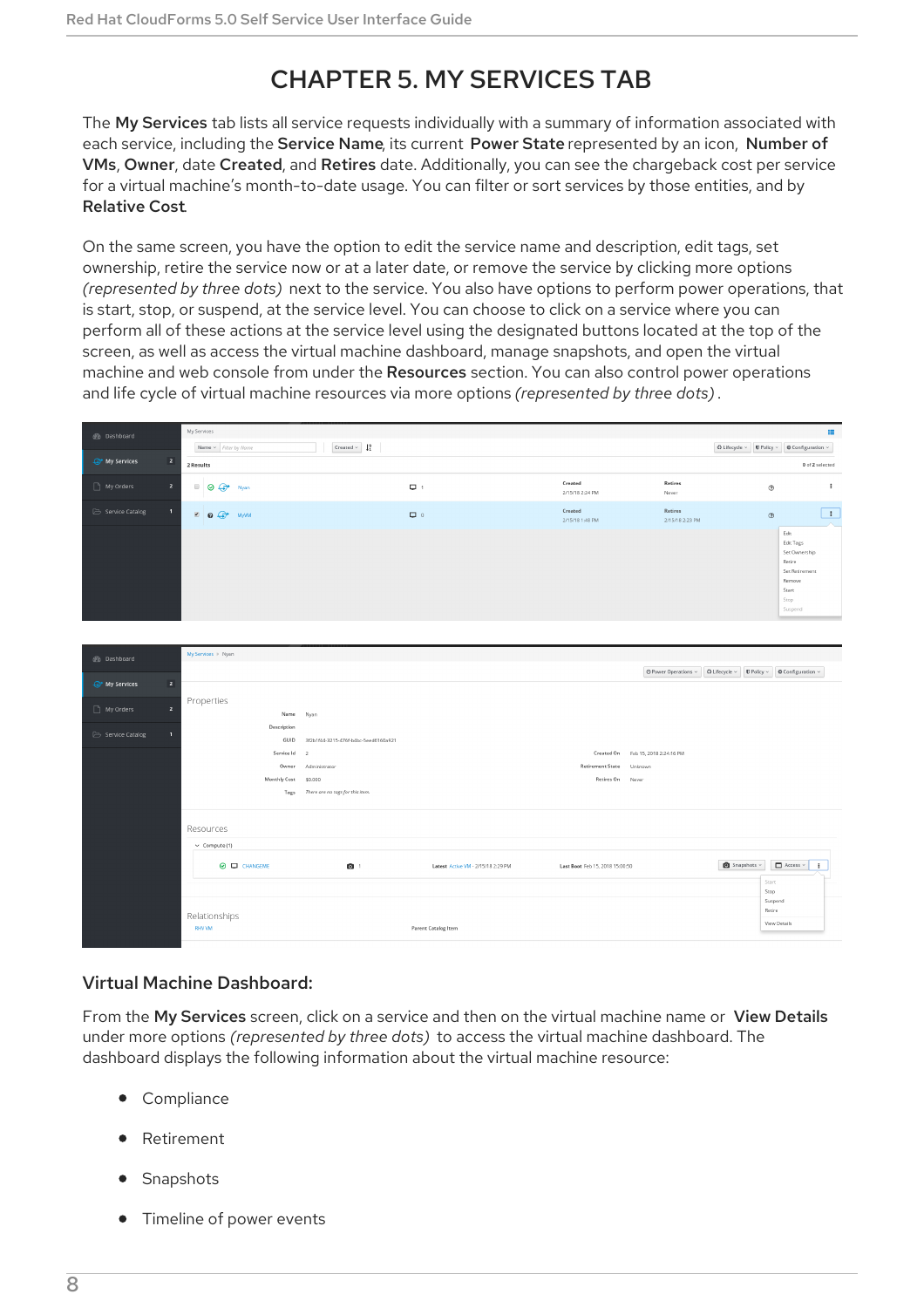# CHAPTER 5. MY SERVICES TAB

<span id="page-11-0"></span>The My Services tab lists all service requests individually with a summary of information associated with each service, including the Service Name, its current Power State represented by an icon, Number of VMs, Owner, date Created, and Retires date. Additionally, you can see the chargeback cost per service for a virtual machine's month-to-date usage. You can filter or sort services by those entities, and by Relative Cost.

On the same screen, you have the option to edit the service name and description, edit tags, set ownership, retire the service now or at a later date, or remove the service by clicking more options *(represented by three dots)* next to the service. You also have options to perform power operations, that is start, stop, or suspend, at the service level. You can choose to click on a service where you can perform all of these actions at the service level using the designated buttons located at the top of the screen, as well as access the virtual machine dashboard, manage snapshots, and open the virtual machine and web console from under the Resources section. You can also control power operations and life cycle of virtual machine resources via more options *(represented by three dots)*.

| <b>Dashboard</b>                                    | My Services                                 |                                                                                |                                    |                                 |                            |                                                         | $\equiv$             |
|-----------------------------------------------------|---------------------------------------------|--------------------------------------------------------------------------------|------------------------------------|---------------------------------|----------------------------|---------------------------------------------------------|----------------------|
|                                                     | Name $\times$ Filter by Name                | $\text{Create } \mathrel{\mathop:} \quad \, \textcolor{red}{\downarrow_{1}^9}$ |                                    |                                 |                            |                                                         |                      |
| $\overline{2}$<br>↔ My Services                     | 2 Results                                   |                                                                                |                                    |                                 |                            |                                                         | 0 of 2 selected      |
| $\mathbf{2}$<br>My Orders                           | $\hfill \square$<br>$\circ \bullet$<br>Nyan |                                                                                | $\Box$ 1                           | Created<br>2/15/18 2:24 PM      | Retires<br>Never           | $^{\circ}$                                              | $\cdot$              |
| $\mathbf 1$<br>Service Catalog                      | <b>■ ● →</b> мухм                           |                                                                                | $\Box$ $\circ$                     | Created<br>2/15/18 1:48 PM      | Retires<br>2/15/18 2:23 PM | $^\circledR$                                            | $\Box$               |
|                                                     |                                             |                                                                                |                                    |                                 |                            | $\mathsf{Edit}$<br>Edit Tags                            |                      |
|                                                     |                                             |                                                                                |                                    |                                 |                            | Set Ownership<br>Retire                                 |                      |
|                                                     |                                             |                                                                                |                                    |                                 |                            | Set Retirement<br>Remove                                |                      |
|                                                     |                                             |                                                                                |                                    |                                 |                            | Start                                                   |                      |
|                                                     |                                             |                                                                                |                                    |                                 |                            | Stop<br>Suspend                                         |                      |
|                                                     |                                             |                                                                                |                                    |                                 |                            |                                                         |                      |
|                                                     |                                             |                                                                                |                                    |                                 |                            |                                                         |                      |
| <b>B</b> Dashboard                                  | My Services > Nyan                          |                                                                                |                                    |                                 |                            |                                                         |                      |
|                                                     |                                             |                                                                                |                                    |                                 |                            |                                                         |                      |
| <b>G</b> <sup>+</sup> My Services<br>$\overline{2}$ |                                             |                                                                                |                                    |                                 |                            |                                                         |                      |
| My Orders<br>$\overline{2}$                         | Properties                                  |                                                                                |                                    |                                 |                            |                                                         |                      |
|                                                     | Name                                        | Nyan                                                                           |                                    |                                 |                            |                                                         |                      |
| Service Catalog<br>$\overline{1}$                   | Description<br>GUID                         | 3f2b1f44-3215-476f-b4bc-5eed6160a921                                           |                                    |                                 |                            |                                                         |                      |
|                                                     | Service Id                                  | $\overline{2}$                                                                 |                                    | Created On                      | Feb 15, 2018 2:24:16 PM    |                                                         |                      |
|                                                     | Owner                                       | Administrator                                                                  |                                    | <b>Retirement State</b>         | Unknown                    |                                                         |                      |
|                                                     | Monthly Cost                                | \$0.000                                                                        |                                    | Retires On                      | Never                      |                                                         |                      |
|                                                     | Tags                                        | There are no tags for this item.                                               |                                    |                                 |                            |                                                         |                      |
|                                                     |                                             |                                                                                |                                    |                                 |                            |                                                         |                      |
|                                                     | Resources                                   |                                                                                |                                    |                                 |                            |                                                         |                      |
|                                                     | $\vee$ Compute (1)                          |                                                                                |                                    |                                 |                            |                                                         |                      |
|                                                     | ⊙ <b>□</b> CHANGEME                         | $\bullet$ 1                                                                    | Latest Active VM - 2/15/18 2:29 PM | Last Boot Feb 15, 2018 15:00:50 |                            | $\blacksquare$ Snapshots $\vee$<br>$\Box$ Access $\vee$ | $\ddot{\phantom{a}}$ |
|                                                     |                                             |                                                                                |                                    |                                 |                            | Start<br>Stop                                           |                      |
|                                                     |                                             |                                                                                |                                    |                                 |                            | Suspend                                                 |                      |
|                                                     | Relationships                               |                                                                                |                                    |                                 |                            | Retire                                                  |                      |
|                                                     | <b>RHV VM</b>                               |                                                                                | Parent Catalog Item                |                                 |                            | View Details                                            |                      |
|                                                     |                                             |                                                                                |                                    |                                 |                            |                                                         |                      |

#### Virtual Machine Dashboard:

From the My Services screen, click on a service and then on the virtual machine name or View Details under more options *(represented by three dots)* to access the virtual machine dashboard. The dashboard displays the following information about the virtual machine resource:

- Compliance
- Retirement
- Snapshots
- Timeline of power events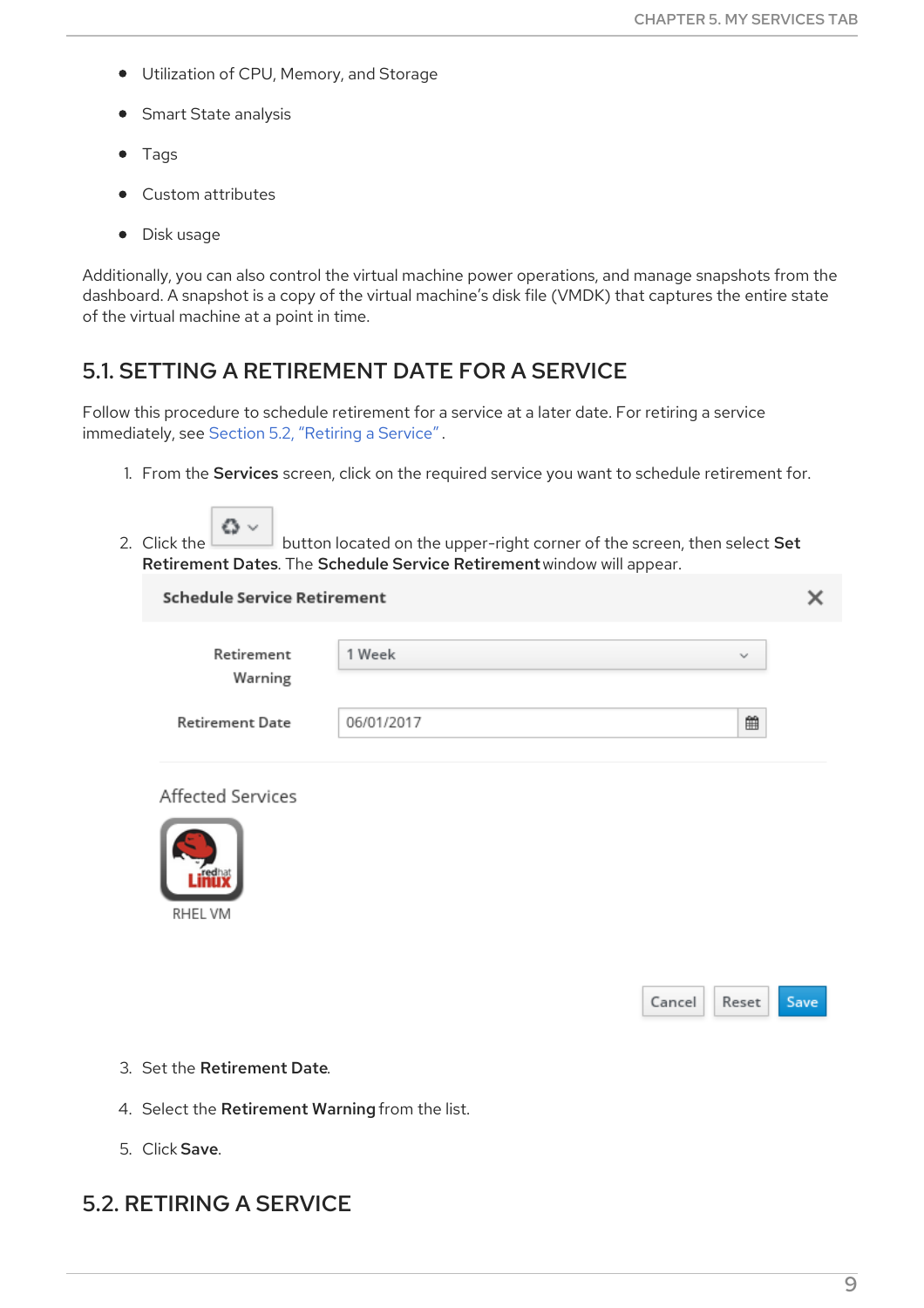- Utilization of CPU, Memory, and Storage
- Smart State analysis
- Tags
- Custom attributes
- Disk usage

Additionally, you can also control the virtual machine power operations, and manage snapshots from the dashboard. A snapshot is a copy of the virtual machine's disk file (VMDK) that captures the entire state of the virtual machine at a point in time.

# <span id="page-12-0"></span>5.1. SETTING A RETIREMENT DATE FOR A SERVICE

Follow this procedure to schedule retirement for a service at a later date. For retiring a service immediately, see Section 5.2, ["Retiring](#page-13-1) a Service".

- 1. From the Services screen, click on the required service you want to schedule retirement for.
- 2. Click the **button located on the upper-right corner of the screen, then select Set** Retirement Dates. The Schedule Service Retirementwindow will appear.

| <b>Schedule Service Retirement</b> |            |                 | ×    |
|------------------------------------|------------|-----------------|------|
| Retirement<br>Warning              | 1 Week     | $\sim$          |      |
| <b>Retirement Date</b>             | 06/01/2017 | ▦               |      |
| Affected Services<br>RHEL VM       |            | Cancel<br>Reset | Save |
| 3. Set the Retirement Date.        |            |                 |      |
|                                    |            |                 |      |

- 4. Select the Retirement Warning from the list.
- 5. Click Save.

## <span id="page-12-1"></span>5.2. RETIRING A SERVICE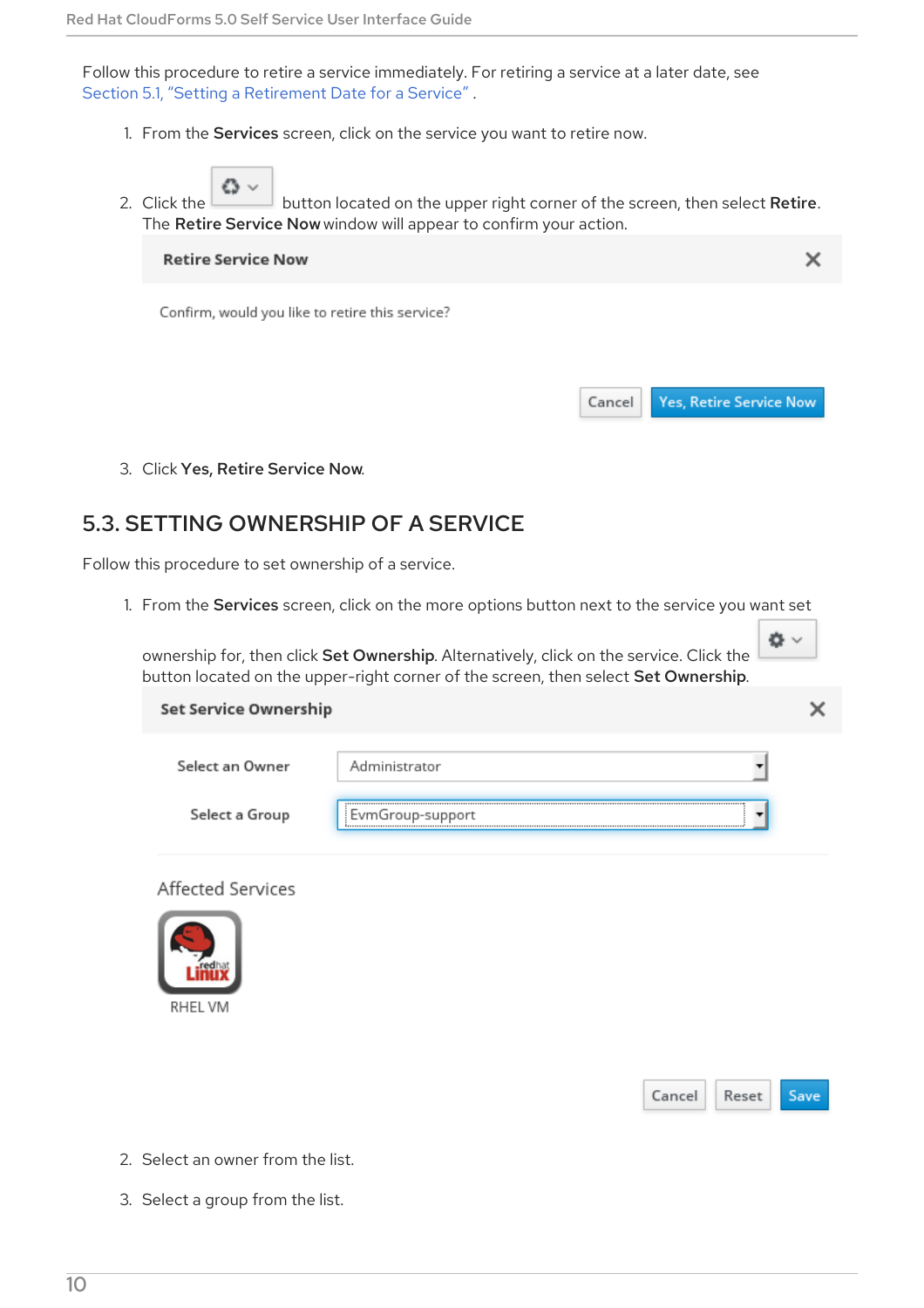<span id="page-13-1"></span>Follow this procedure to retire a service immediately. For retiring a service at a later date, see Section 5.1, "Setting a [Retirement](#page-12-0) Date for a Service" .

1. From the Services screen, click on the service you want to retire now.



## <span id="page-13-0"></span>5.3. SETTING OWNERSHIP OF A SERVICE

Follow this procedure to set ownership of a service.

1. From the Services screen, click on the more options button next to the service you want set

د چ

ownership for, then click Set Ownership. Alternatively, click on the service. Click the button located on the upper-right corner of the screen, then select Set Ownership.

| Set Service Ownership        |                       |      |
|------------------------------|-----------------------|------|
| Select an Owner              | Administrator         |      |
| Select a Group               | EvmGroup-support<br>▼ |      |
| Affected Services<br>RHEL VM | Cancel<br>Reset       | Save |

- 2. Select an owner from the list.
- 3. Select a group from the list.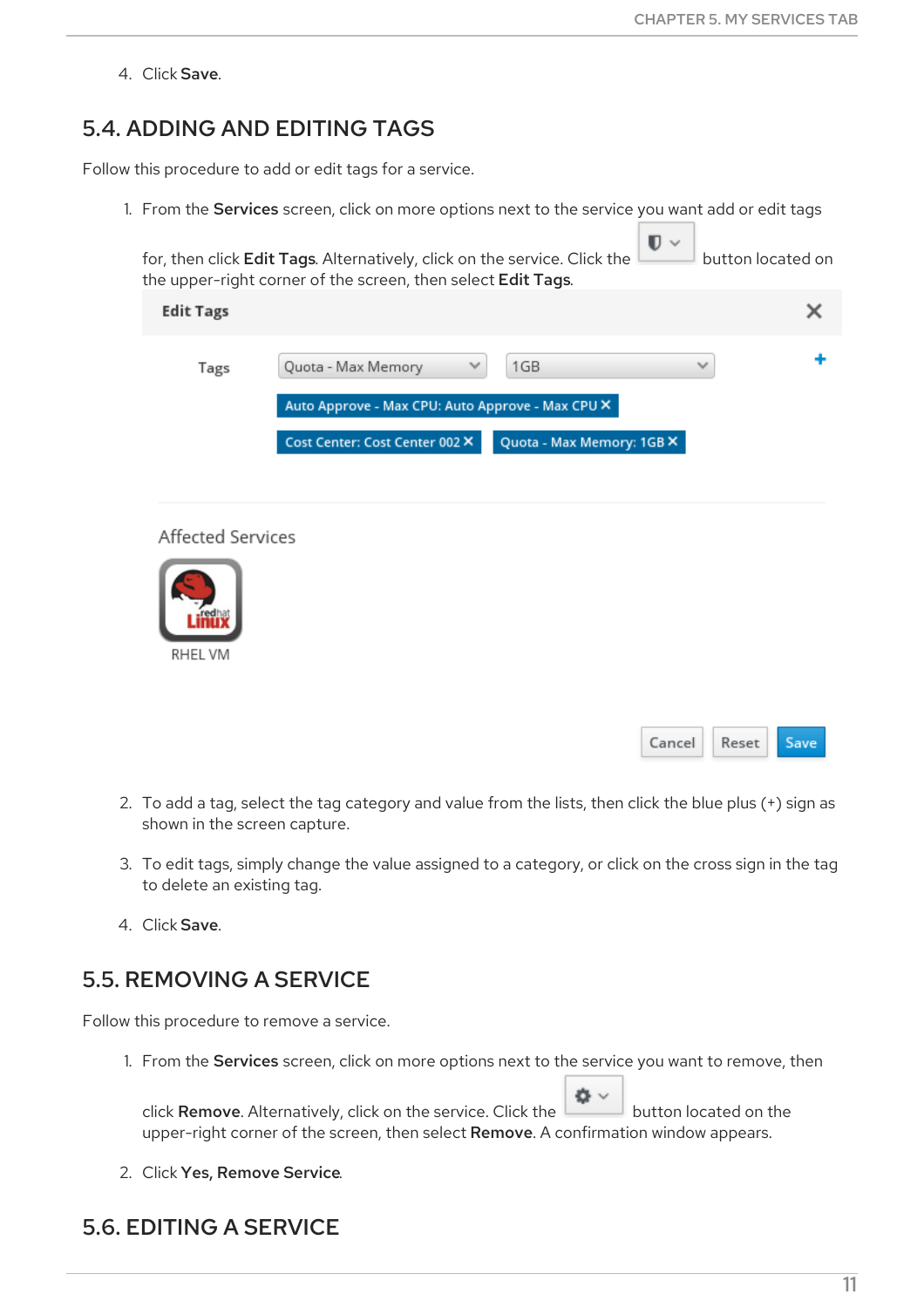4. Click Save.

# <span id="page-14-0"></span>5.4. ADDING AND EDITING TAGS

Follow this procedure to add or edit tags for a service.

|                   | 1. From the Services screen, click on more options next to the service you want add or edit tags                                          |                           |                           |                   |
|-------------------|-------------------------------------------------------------------------------------------------------------------------------------------|---------------------------|---------------------------|-------------------|
|                   | for, then click Edit Tags. Alternatively, click on the service. Click the<br>the upper-right corner of the screen, then select Edit Tags. |                           | $\mathbb{U}$ $\mathbb{V}$ | button located on |
| <b>Edit Tags</b>  |                                                                                                                                           |                           |                           | x                 |
| Tags              | Quota - Max Memory                                                                                                                        | 1GB                       | $\checkmark$              |                   |
|                   | Auto Approve - Max CPU: Auto Approve - Max CPU X                                                                                          |                           |                           |                   |
|                   | Cost Center: Cost Center 002 X                                                                                                            | Quota - Max Memory: 1GB X |                           |                   |
|                   |                                                                                                                                           |                           |                           |                   |
| Affected Services |                                                                                                                                           |                           |                           |                   |
| RHEL VM           |                                                                                                                                           |                           |                           |                   |
|                   |                                                                                                                                           |                           |                           |                   |
|                   |                                                                                                                                           |                           | Reset<br>Cancel           | Save              |

- 2. To add a tag, select the tag category and value from the lists, then click the blue plus (+) sign as shown in the screen capture.
- 3. To edit tags, simply change the value assigned to a category, or click on the cross sign in the tag to delete an existing tag.
- 4. Click Save.

## <span id="page-14-1"></span>5.5. REMOVING A SERVICE

Follow this procedure to remove a service.

1. From the Services screen, click on more options next to the service you want to remove, then

click Remove. Alternatively, click on the service. Click the **button** located on the upper-right corner of the screen, then select Remove. A confirmation window appears.

2. Click Yes, Remove Service.

# <span id="page-14-2"></span>5.6. EDITING A SERVICE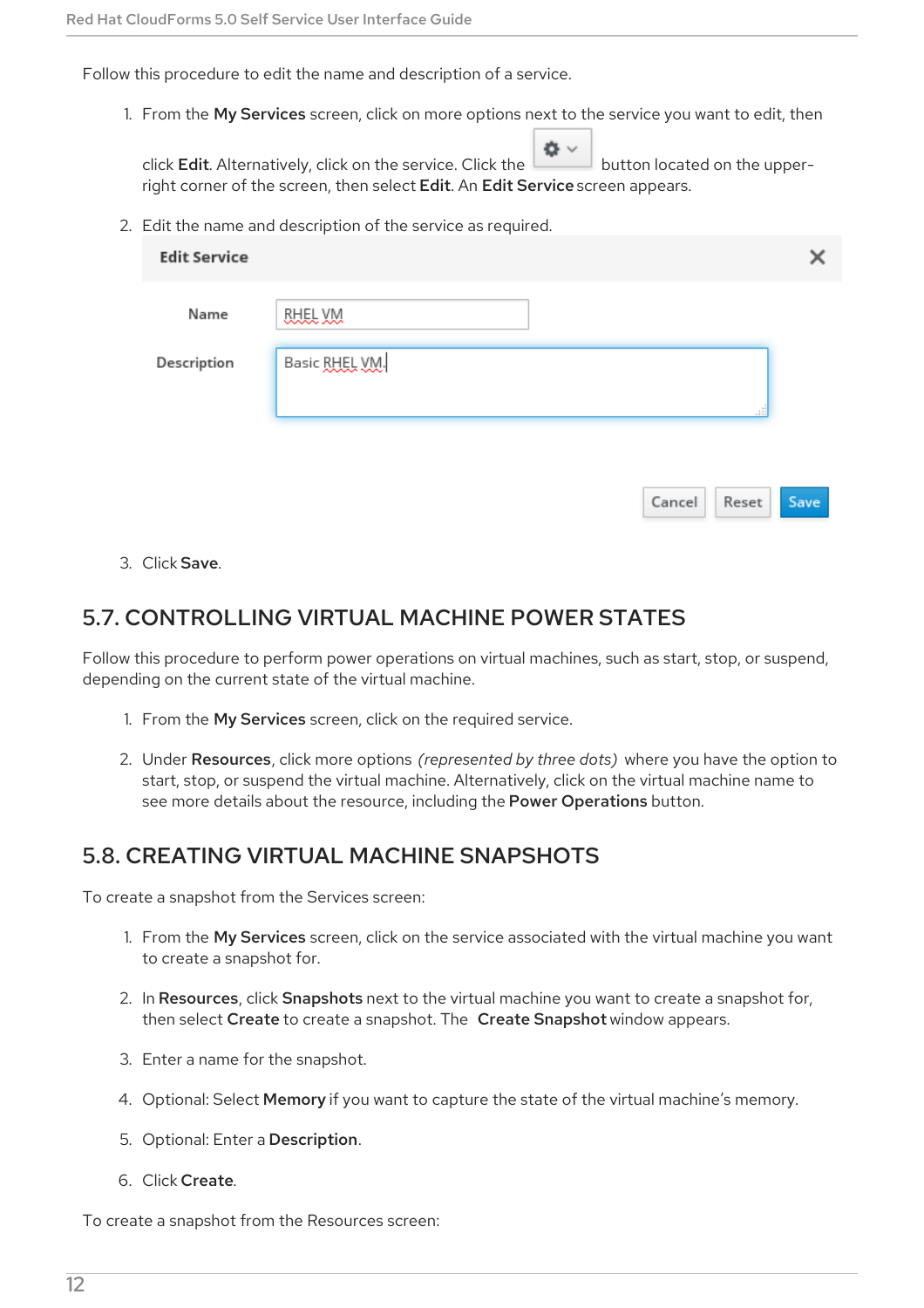Follow this procedure to edit the name and description of a service.

1. From the My Services screen, click on more options next to the service you want to edit, then

٠ click **Edit**. Alternatively, click on the service. Click the  $\boxed{ }$  button located on the upperright corner of the screen, then select Edit. An Edit Service screen appears.

2. Edit the name and description of the service as required.

| <b>Edit Service</b> |                         |  |
|---------------------|-------------------------|--|
| Name                | <b>RHEL YM</b>          |  |
| Description         | Basic RHEL VM.          |  |
|                     |                         |  |
|                     | Reset<br>Cancel<br>Save |  |

3. Click Save.

### <span id="page-15-0"></span>5.7. CONTROLLING VIRTUAL MACHINE POWER STATES

Follow this procedure to perform power operations on virtual machines, such as start, stop, or suspend, depending on the current state of the virtual machine.

- 1. From the My Services screen, click on the required service.
- 2. Under Resources, click more options *(represented by three dots)* where you have the option to start, stop, or suspend the virtual machine. Alternatively, click on the virtual machine name to see more details about the resource, including the Power Operations button.

### <span id="page-15-1"></span>5.8. CREATING VIRTUAL MACHINE SNAPSHOTS

To create a snapshot from the Services screen:

- 1. From the My Services screen, click on the service associated with the virtual machine you want to create a snapshot for.
- 2. In Resources, click Snapshots next to the virtual machine you want to create a snapshot for, then select Create to create a snapshot. The Create Snapshot window appears.
- 3. Enter a name for the snapshot.
- 4. Optional: Select Memory if you want to capture the state of the virtual machine's memory.
- 5. Optional: Enter a Description.
- 6. Click Create.

To create a snapshot from the Resources screen: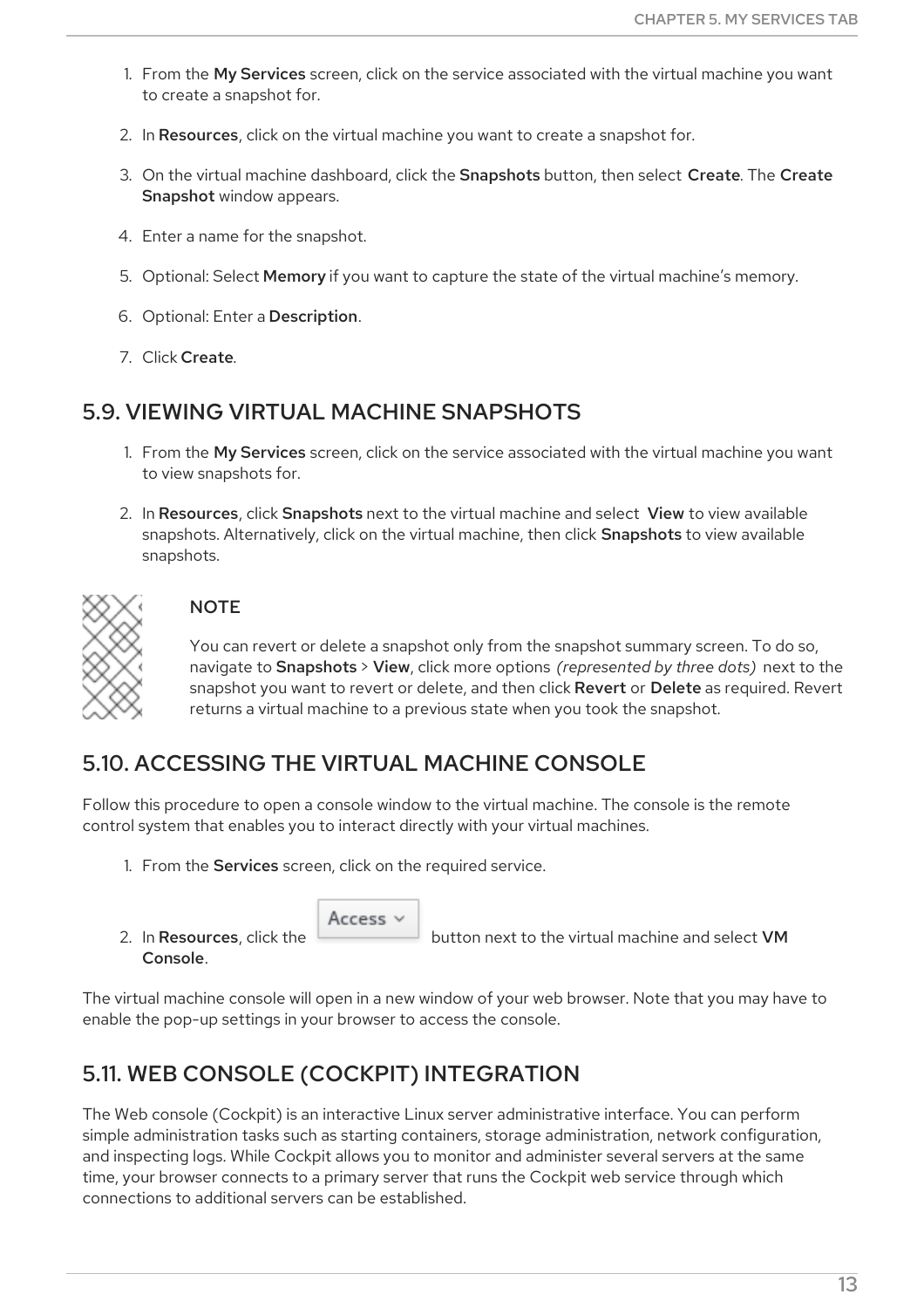- 1. From the My Services screen, click on the service associated with the virtual machine you want to create a snapshot for.
- 2. In Resources, click on the virtual machine you want to create a snapshot for.
- 3. On the virtual machine dashboard, click the Snapshots button, then select Create. The Create Snapshot window appears.
- 4. Enter a name for the snapshot.
- 5. Optional: Select Memory if you want to capture the state of the virtual machine's memory.
- 6. Optional: Enter a Description.
- 7. Click Create.

### <span id="page-16-0"></span>5.9. VIEWING VIRTUAL MACHINE SNAPSHOTS

- 1. From the My Services screen, click on the service associated with the virtual machine you want to view snapshots for.
- 2. In Resources, click Snapshots next to the virtual machine and select View to view available snapshots. Alternatively, click on the virtual machine, then click Snapshots to view available snapshots.



#### **NOTE**

You can revert or delete a snapshot only from the snapshot summary screen. To do so, navigate to Snapshots > View, click more options *(represented by three dots)* next to the snapshot you want to revert or delete, and then click Revert or Delete as required. Revert returns a virtual machine to a previous state when you took the snapshot.

# <span id="page-16-1"></span>5.10. ACCESSING THE VIRTUAL MACHINE CONSOLE

Follow this procedure to open a console window to the virtual machine. The console is the remote control system that enables you to interact directly with your virtual machines.

1. From the Services screen, click on the required service.



Console.

2. In Resources, click the  $\Box$  button next to the virtual machine and select VM

The virtual machine console will open in a new window of your web browser. Note that you may have to enable the pop-up settings in your browser to access the console.

# <span id="page-16-2"></span>5.11. WEB CONSOLE (COCKPIT) INTEGRATION

The Web console (Cockpit) is an interactive Linux server administrative interface. You can perform simple administration tasks such as starting containers, storage administration, network configuration, and inspecting logs. While Cockpit allows you to monitor and administer several servers at the same time, your browser connects to a primary server that runs the Cockpit web service through which connections to additional servers can be established.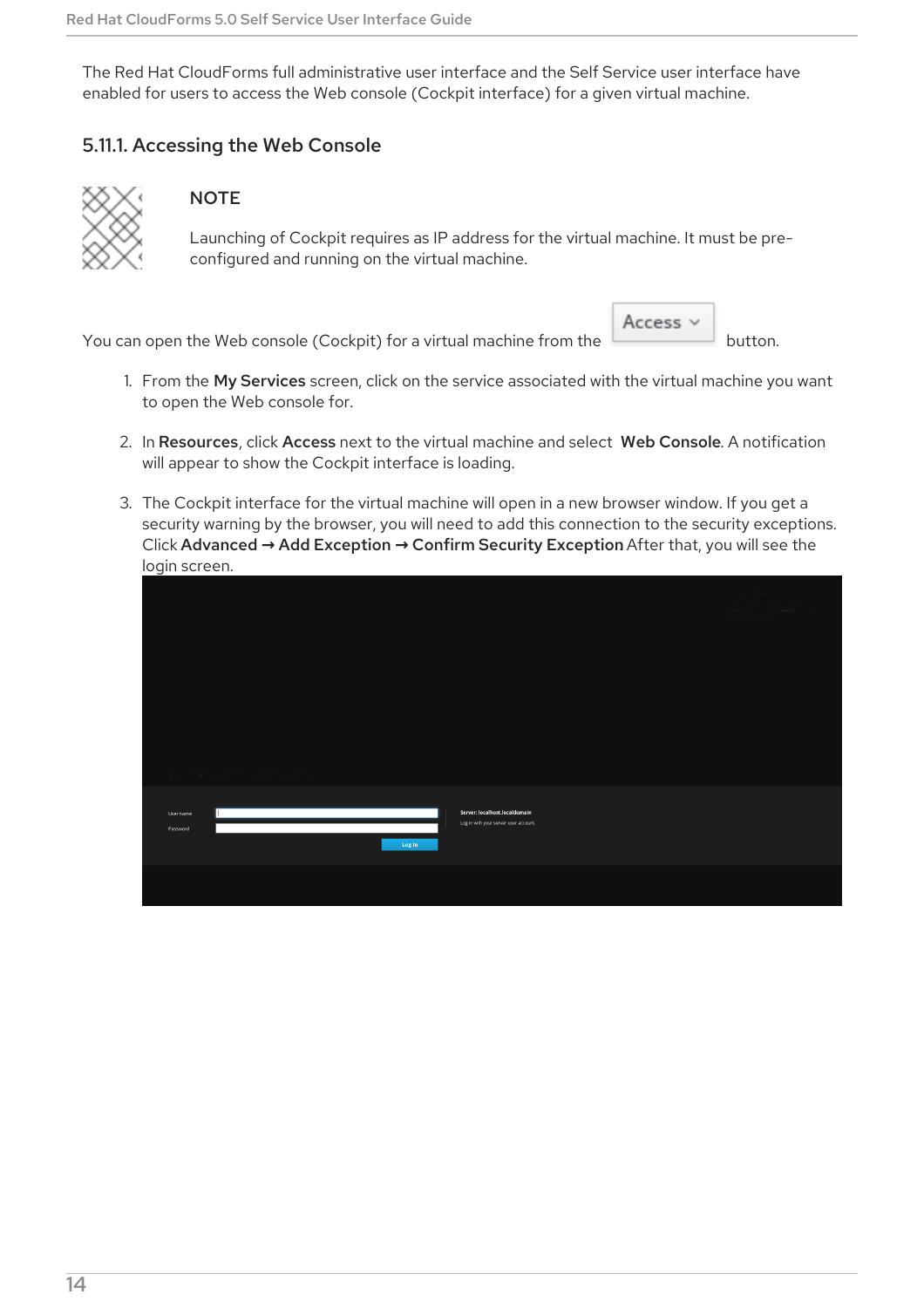The Red Hat CloudForms full administrative user interface and the Self Service user interface have enabled for users to access the Web console (Cockpit interface) for a given virtual machine.

### <span id="page-17-0"></span>5.11.1. Accessing the Web Console



#### **NOTE**

Launching of Cockpit requires as IP address for the virtual machine. It must be preconfigured and running on the virtual machine.

You can open the Web console (Cockpit) for a virtual machine from the button.

Access \

- 1. From the My Services screen, click on the service associated with the virtual machine you want to open the Web console for.
- 2. In Resources, click Access next to the virtual machine and select Web Console. A notification will appear to show the Cockpit interface is loading.
- 3. The Cockpit interface for the virtual machine will open in a new browser window. If you get a security warning by the browser, you will need to add this connection to the security exceptions. Click Advanced **→** Add Exception **→** Confirm Security Exception. After that, you will see the login screen.

| mischläften.                 |                                                                        |  |
|------------------------------|------------------------------------------------------------------------|--|
|                              |                                                                        |  |
| <b>User name</b><br>Password | Server: localhost.localdomain<br>Log in with your server user account. |  |
| Log In                       |                                                                        |  |
|                              |                                                                        |  |
|                              |                                                                        |  |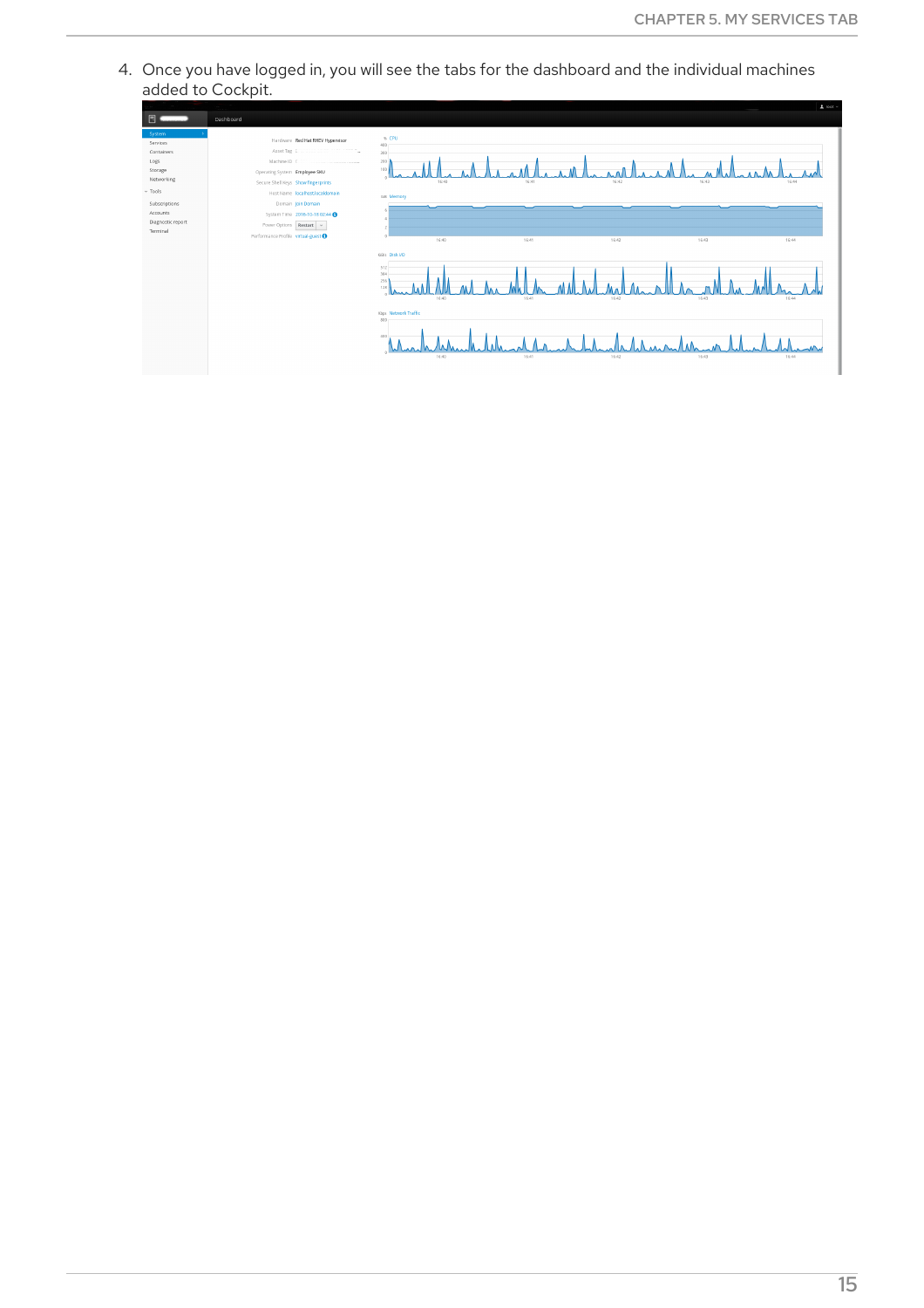4. Once you have logged in, you will see the tabs for the dashboard and the individual machines added to Cockpit.

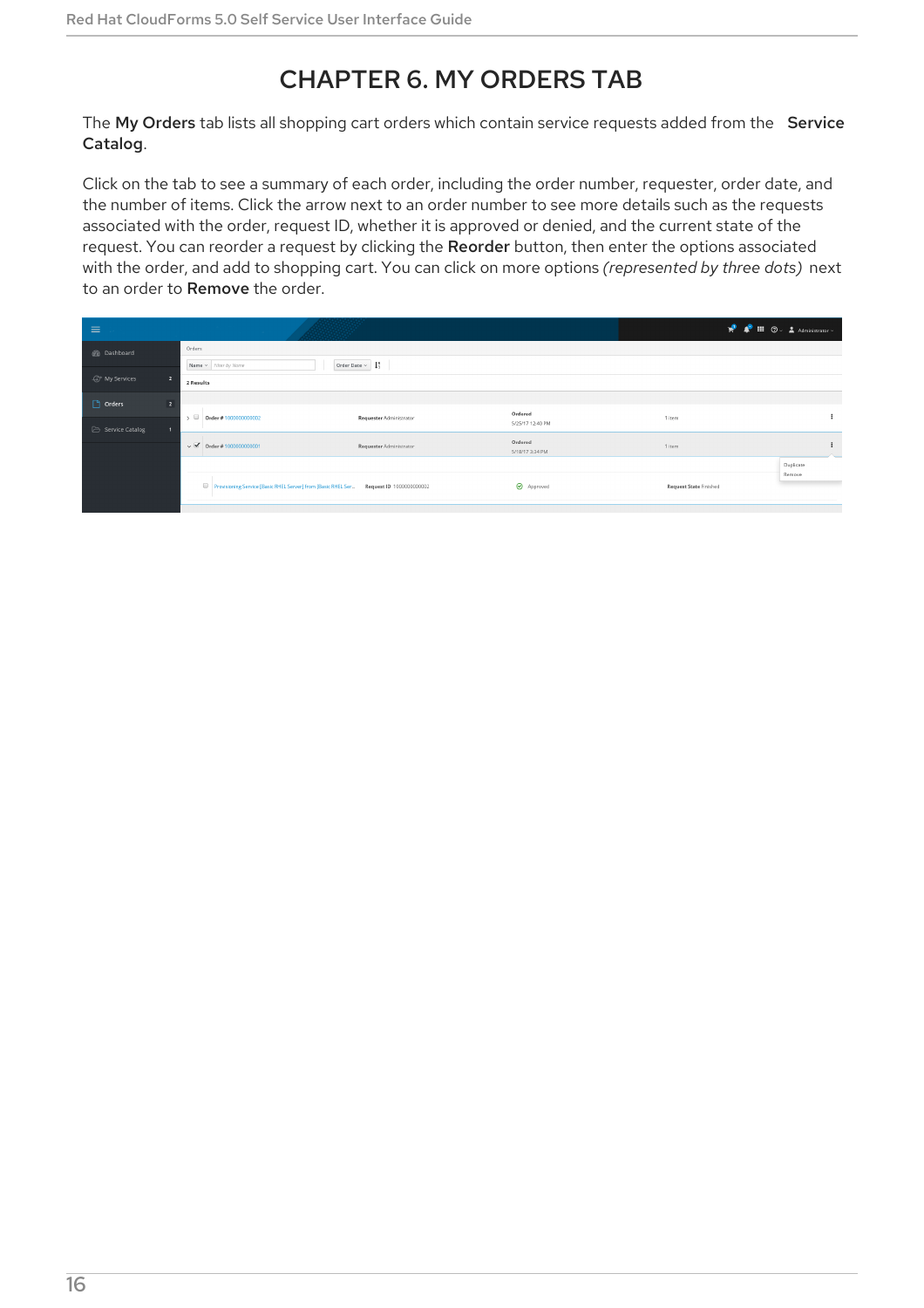# CHAPTER 6. MY ORDERS TAB

<span id="page-19-0"></span>The My Orders tab lists all shopping cart orders which contain service requests added from the Service Catalog.

Click on the tab to see a summary of each order, including the order number, requester, order date, and the number of items. Click the arrow next to an order number to see more details such as the requests associated with the order, request ID, whether it is approved or denied, and the current state of the request. You can reorder a request by clicking the Reorder button, then enter the options associated with the order, and add to shopping cart. You can click on more options *(represented by three dots)* next to an order to Remove the order.

| $\equiv$                        |                                         |                                                                                       |                             |                               | $\begin{picture}(180,10) \put(0,0){\line(1,0){10}} \put(15,0){\line(1,0){10}} \put(15,0){\line(1,0){10}} \put(15,0){\line(1,0){10}} \put(15,0){\line(1,0){10}} \put(15,0){\line(1,0){10}} \put(15,0){\line(1,0){10}} \put(15,0){\line(1,0){10}} \put(15,0){\line(1,0){10}} \put(15,0){\line(1,0){10}} \put(15,0){\line(1,0){10}} \put(15,0){\line($ |
|---------------------------------|-----------------------------------------|---------------------------------------------------------------------------------------|-----------------------------|-------------------------------|-----------------------------------------------------------------------------------------------------------------------------------------------------------------------------------------------------------------------------------------------------------------------------------------------------------------------------------------------------|
| <b>B</b> Dashboard              | Orders                                  |                                                                                       |                             |                               |                                                                                                                                                                                                                                                                                                                                                     |
| ← My Services<br>$\overline{2}$ | Name $\sim$ Filter by Name<br>2 Results | Order Date $\sim$ $\frac{19}{11}$                                                     |                             |                               |                                                                                                                                                                                                                                                                                                                                                     |
| Orders<br>$\overline{2}$        |                                         |                                                                                       |                             |                               |                                                                                                                                                                                                                                                                                                                                                     |
| Service Catalog                 | $\Rightarrow$ Order #1000000000002      | Requester Administrator                                                               | Ordered<br>5/25/17 12:40 PM | 1 item                        |                                                                                                                                                                                                                                                                                                                                                     |
|                                 | $\sqrt{M}$ Order #1000000000001         | Requester Administrator                                                               | Ordered<br>5/18/17 3:34 PM  | 1 item                        |                                                                                                                                                                                                                                                                                                                                                     |
|                                 |                                         |                                                                                       |                             |                               | $\equiv$<br>Duplicate<br>Remove                                                                                                                                                                                                                                                                                                                     |
|                                 |                                         | Provisioning Service [Basic RHEL Server] from [Basic RHEL Ser Request ID 100000000002 | Approved                    | <b>Request State Finished</b> |                                                                                                                                                                                                                                                                                                                                                     |
|                                 |                                         |                                                                                       |                             |                               |                                                                                                                                                                                                                                                                                                                                                     |